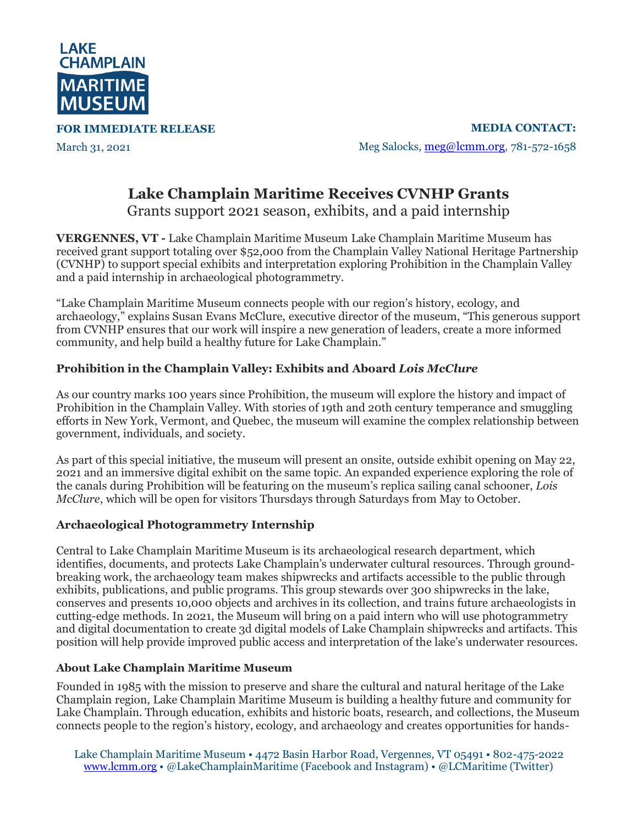

**FOR IMMEDIATE RELEASE**

March 31, 2021

**MEDIA CONTACT:** Meg Salocks, [meg@lcmm.org,](mailto:meg@lcmm.org) 781-572-1658

## **Lake Champlain Maritime Receives CVNHP Grants**

Grants support 2021 season, exhibits, and a paid internship

**VERGENNES, VT -** Lake Champlain Maritime Museum Lake Champlain Maritime Museum has received grant support totaling over \$52,000 from the Champlain Valley National Heritage Partnership (CVNHP) to support special exhibits and interpretation exploring Prohibition in the Champlain Valley and a paid internship in archaeological photogrammetry.

"Lake Champlain Maritime Museum connects people with our region's history, ecology, and archaeology," explains Susan Evans McClure, executive director of the museum, "This generous support from CVNHP ensures that our work will inspire a new generation of leaders, create a more informed community, and help build a healthy future for Lake Champlain."

## **Prohibition in the Champlain Valley: Exhibits and Aboard** *Lois McClure*

As our country marks 100 years since Prohibition, the museum will explore the history and impact of Prohibition in the Champlain Valley. With stories of 19th and 20th century temperance and smuggling efforts in New York, Vermont, and Quebec, the museum will examine the complex relationship between government, individuals, and society.

As part of this special initiative, the museum will present an onsite, outside exhibit opening on May 22, 2021 and an immersive digital exhibit on the same topic. An expanded experience exploring the role of the canals during Prohibition will be featuring on the museum's replica sailing canal schooner, *Lois McClure*, which will be open for visitors Thursdays through Saturdays from May to October.

## **Archaeological Photogrammetry Internship**

Central to Lake Champlain Maritime Museum is its archaeological research department, which identifies, documents, and protects Lake Champlain's underwater cultural resources. Through groundbreaking work, the archaeology team makes shipwrecks and artifacts accessible to the public through exhibits, publications, and public programs. This group stewards over 300 shipwrecks in the lake, conserves and presents 10,000 objects and archives in its collection, and trains future archaeologists in cutting-edge methods. In 2021, the Museum will bring on a paid intern who will use photogrammetry and digital documentation to create 3d digital models of Lake Champlain shipwrecks and artifacts. This position will help provide improved public access and interpretation of the lake's underwater resources.

## **About Lake Champlain Maritime Museum**

Founded in 1985 with the mission to preserve and share the cultural and natural heritage of the Lake Champlain region, Lake Champlain Maritime Museum is building a healthy future and community for Lake Champlain. Through education, exhibits and historic boats, research, and collections, the Museum connects people to the region's history, ecology, and archaeology and creates opportunities for hands-

Lake Champlain Maritime Museum • 4472 Basin Harbor Road, Vergennes, VT 05491 • 802-475-2022 [www.lcmm.org](http://www.lcmm.org/) • @LakeChamplainMaritime (Facebook and Instagram) • @LCMaritime (Twitter)